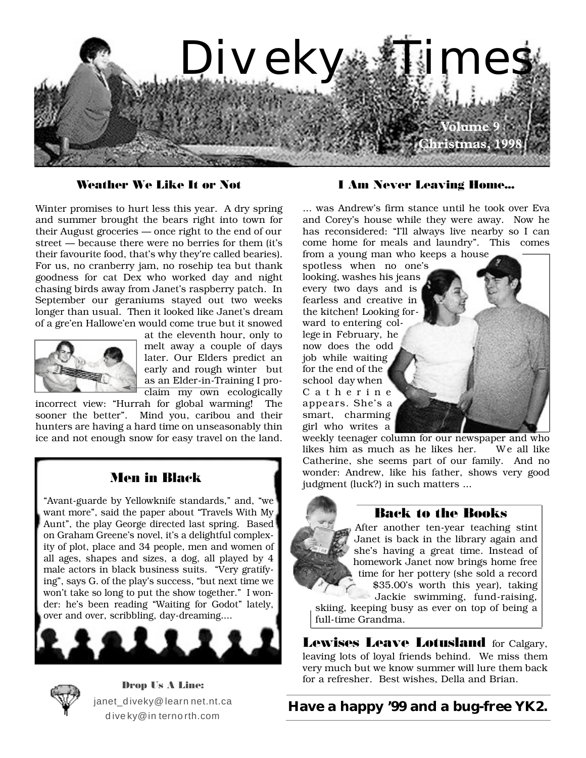

### **Weather We Like It or Not**

Winter promises to hurt less this year. A dry spring and summer brought the bears right into town for their August groceries — once right to the end of our street — because there were no berries for them (it's their favourite food, that's why they're called bearies). For us, no cranberry jam, no rosehip tea but thank goodness for cat Dex who worked day and night chasing birds away from Janet's raspberry patch. In September our geraniums stayed out two weeks longer than usual. Then it looked like Janet's dream of a gre'en Hallowe'en would come true but it snowed



at the eleventh hour, only to melt away a couple of days later. Our Elders predict an early and rough winter but as an Elder-in-Training I proclaim my own ecologically

incorrect view: "Hurrah for global warming! The sooner the better". Mind you, caribou and their hunters are having a hard time on unseasonably thin ice and not enough snow for easy travel on the land.

# **Men in Black**

"Avant-guarde by Yellowknife standards," and, "we want more", said the paper about "Travels With My Aunt", the play George directed last spring. Based on Graham Greene's novel, it's a delightful complexity of plot, place and 34 people, men and women of all ages, shapes and sizes, a dog, all played by 4 male actors in black business suits. "Very gratifying", says G. of the play's success, "but next time we won't take so long to put the show together." I wonder: he's been reading "Waiting for Godot" lately, over and over, scribbling, day-dreaming....



**Drop Us A Line:** janet diveky@learn net.nt.ca dive ky@in ternorth.com

#### **I Am Never Leaving Home...**

... was Andrew's firm stance until he took over Eva and Corey's house while they were away. Now he has reconsidered: "I'll always live nearby so I can come home for meals and laundry". This comes from a young man who keeps a house

spotless when no one's looking, washes his jeans every two days and is fearless and creative in the kitchen! Looking forward to entering college in February, he now does the odd job while waiting for the end of the school day when C a t h e r i n e appears. She's a smart, charming girl who writes a

weekly teenager column for our newspaper and who likes him as much as he likes her. We all like Catherine, she seems part of our family. And no wonder: Andrew, like his father, shows very good judgment (luck?) in such matters ...

## **Back to the Books**

After another ten-year teaching stint Janet is back in the library again and she's having a great time. Instead of homework Janet now brings home free time for her pottery (she sold a record \$35.00's worth this year), taking Jackie swimming, fund-raising,

skiing, keeping busy as ever on top of being a full-time Grandma.

**Lewises Leave Lotusland** for Calgary, leaving lots of loyal friends behind. We miss them very much but we know summer will lure them back for a refresher. Best wishes, Della and Brian.

# **Have a happy '99 and a bug-free YK2.**